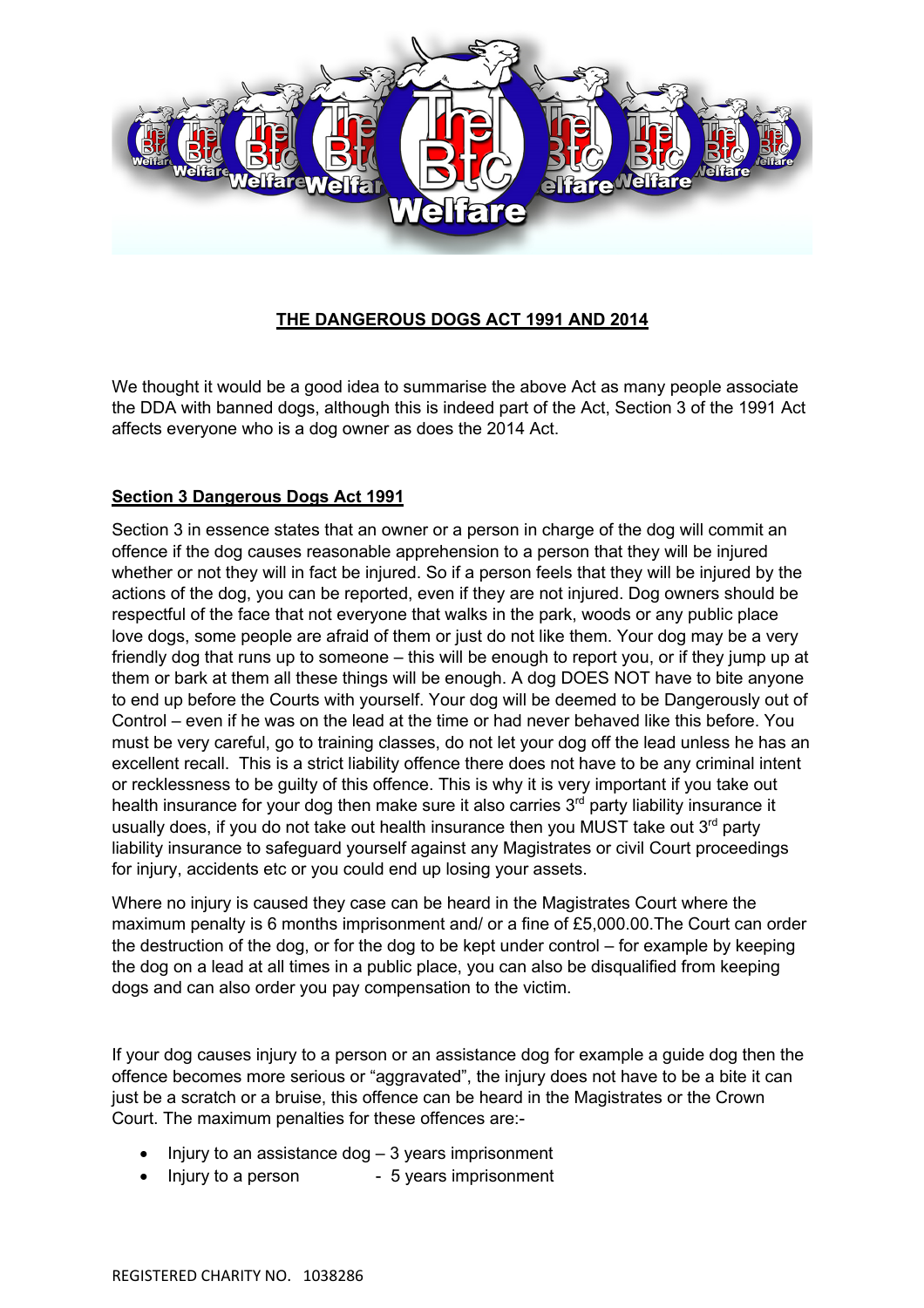

# **THE DANGEROUS DOGS ACT 1991 AND 2014**

We thought it would be a good idea to summarise the above Act as many people associate the DDA with banned dogs, although this is indeed part of the Act, Section 3 of the 1991 Act affects everyone who is a dog owner as does the 2014 Act.

## **Section 3 Dangerous Dogs Act 1991**

Section 3 in essence states that an owner or a person in charge of the dog will commit an offence if the dog causes reasonable apprehension to a person that they will be injured whether or not they will in fact be injured. So if a person feels that they will be injured by the actions of the dog, you can be reported, even if they are not injured. Dog owners should be respectful of the face that not everyone that walks in the park, woods or any public place love dogs, some people are afraid of them or just do not like them. Your dog may be a very friendly dog that runs up to someone – this will be enough to report you, or if they jump up at them or bark at them all these things will be enough. A dog DOES NOT have to bite anyone to end up before the Courts with yourself. Your dog will be deemed to be Dangerously out of Control – even if he was on the lead at the time or had never behaved like this before. You must be very careful, go to training classes, do not let your dog off the lead unless he has an excellent recall. This is a strict liability offence there does not have to be any criminal intent or recklessness to be guilty of this offence. This is why it is very important if you take out health insurance for your dog then make sure it also carries 3<sup>rd</sup> party liability insurance it usually does, if you do not take out health insurance then you MUST take out  $3<sup>rd</sup>$  party liability insurance to safeguard yourself against any Magistrates or civil Court proceedings for injury, accidents etc or you could end up losing your assets.

Where no injury is caused they case can be heard in the Magistrates Court where the maximum penalty is 6 months imprisonment and/ or a fine of £5,000.00.The Court can order the destruction of the dog, or for the dog to be kept under control – for example by keeping the dog on a lead at all times in a public place, you can also be disqualified from keeping dogs and can also order you pay compensation to the victim.

If your dog causes injury to a person or an assistance dog for example a guide dog then the offence becomes more serious or "aggravated", the injury does not have to be a bite it can just be a scratch or a bruise, this offence can be heard in the Magistrates or the Crown Court. The maximum penalties for these offences are:-

- Injury to an assistance dog  $-3$  years imprisonment
- Injury to a person 5 years imprisonment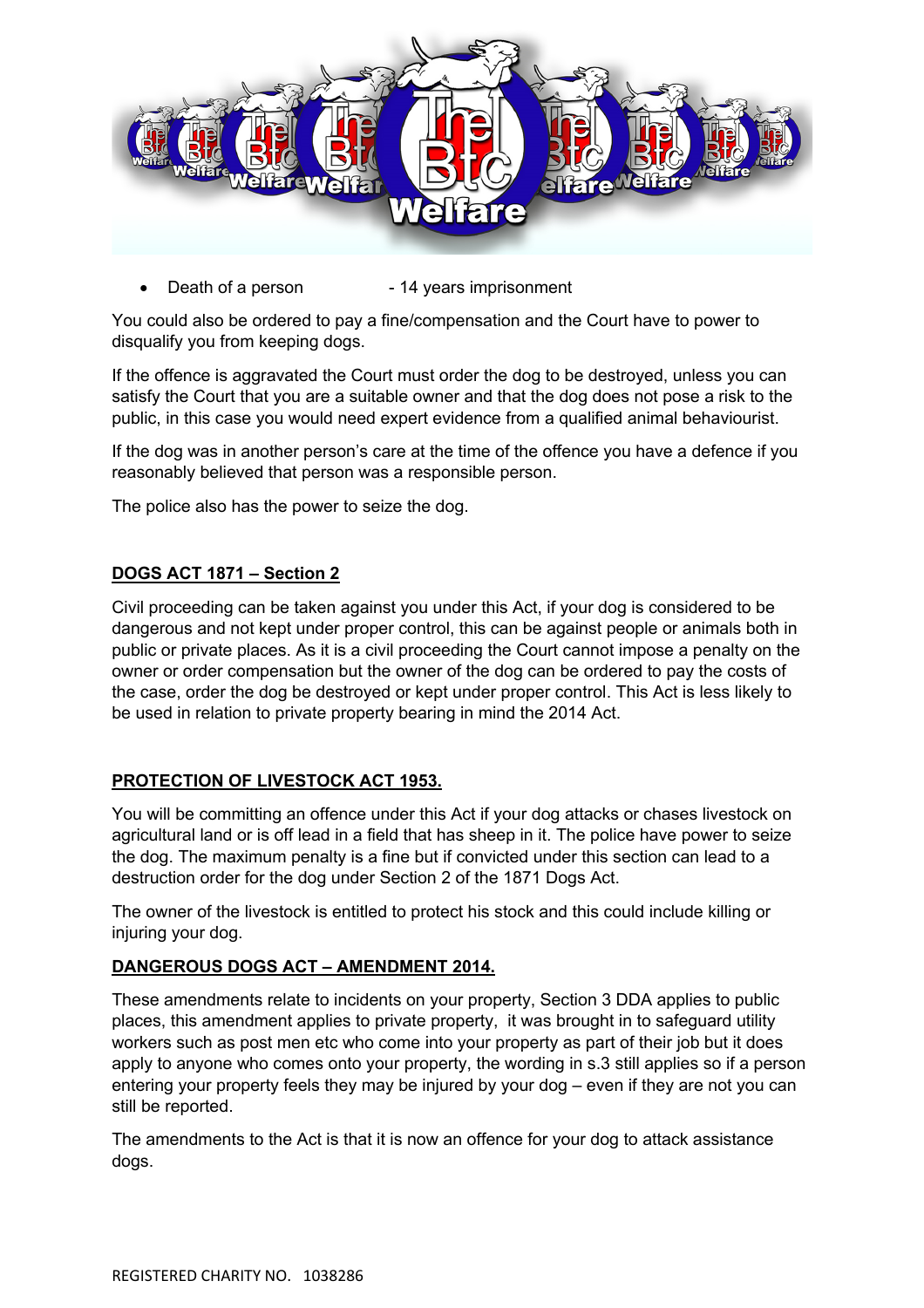

Death of a person - 14 years imprisonment

You could also be ordered to pay a fine/compensation and the Court have to power to disqualify you from keeping dogs.

If the offence is aggravated the Court must order the dog to be destroyed, unless you can satisfy the Court that you are a suitable owner and that the dog does not pose a risk to the public, in this case you would need expert evidence from a qualified animal behaviourist.

If the dog was in another person's care at the time of the offence you have a defence if you reasonably believed that person was a responsible person.

The police also has the power to seize the dog.

### **DOGS ACT 1871 – Section 2**

Civil proceeding can be taken against you under this Act, if your dog is considered to be dangerous and not kept under proper control, this can be against people or animals both in public or private places. As it is a civil proceeding the Court cannot impose a penalty on the owner or order compensation but the owner of the dog can be ordered to pay the costs of the case, order the dog be destroyed or kept under proper control. This Act is less likely to be used in relation to private property bearing in mind the 2014 Act.

#### **PROTECTION OF LIVESTOCK ACT 1953.**

You will be committing an offence under this Act if your dog attacks or chases livestock on agricultural land or is off lead in a field that has sheep in it. The police have power to seize the dog. The maximum penalty is a fine but if convicted under this section can lead to a destruction order for the dog under Section 2 of the 1871 Dogs Act.

The owner of the livestock is entitled to protect his stock and this could include killing or injuring your dog.

#### **DANGEROUS DOGS ACT – AMENDMENT 2014.**

These amendments relate to incidents on your property, Section 3 DDA applies to public places, this amendment applies to private property, it was brought in to safeguard utility workers such as post men etc who come into your property as part of their job but it does apply to anyone who comes onto your property, the wording in s.3 still applies so if a person entering your property feels they may be injured by your dog – even if they are not you can still be reported.

The amendments to the Act is that it is now an offence for your dog to attack assistance dogs.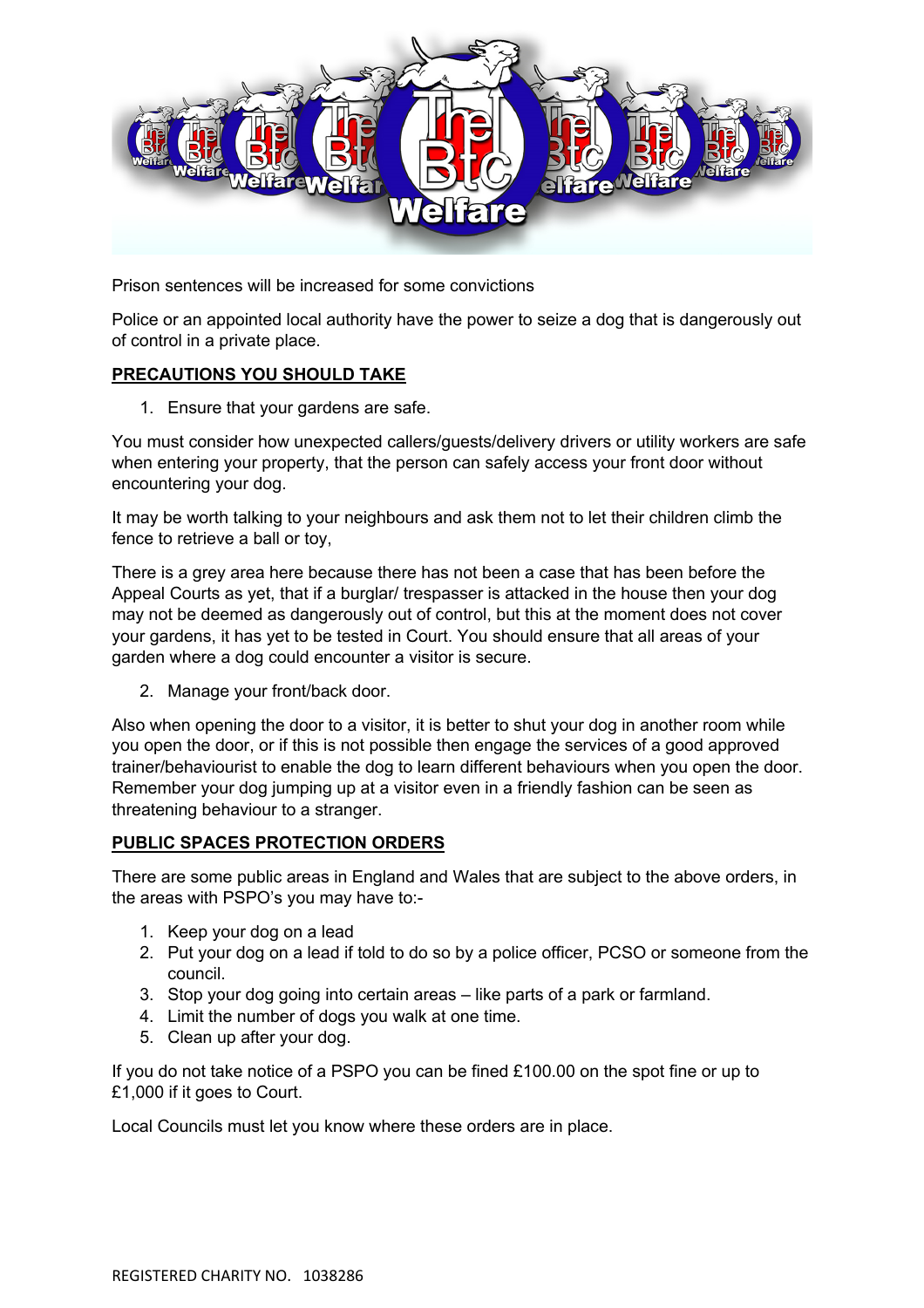

Prison sentences will be increased for some convictions

Police or an appointed local authority have the power to seize a dog that is dangerously out of control in a private place.

# **PRECAUTIONS YOU SHOULD TAKE**

1. Ensure that your gardens are safe.

You must consider how unexpected callers/guests/delivery drivers or utility workers are safe when entering your property, that the person can safely access your front door without encountering your dog.

It may be worth talking to your neighbours and ask them not to let their children climb the fence to retrieve a ball or toy,

There is a grey area here because there has not been a case that has been before the Appeal Courts as yet, that if a burglar/ trespasser is attacked in the house then your dog may not be deemed as dangerously out of control, but this at the moment does not cover your gardens, it has yet to be tested in Court. You should ensure that all areas of your garden where a dog could encounter a visitor is secure.

2. Manage your front/back door.

Also when opening the door to a visitor, it is better to shut your dog in another room while you open the door, or if this is not possible then engage the services of a good approved trainer/behaviourist to enable the dog to learn different behaviours when you open the door. Remember your dog jumping up at a visitor even in a friendly fashion can be seen as threatening behaviour to a stranger.

## **PUBLIC SPACES PROTECTION ORDERS**

There are some public areas in England and Wales that are subject to the above orders, in the areas with PSPO's you may have to:-

- 1. Keep your dog on a lead
- 2. Put your dog on a lead if told to do so by a police officer, PCSO or someone from the council.
- 3. Stop your dog going into certain areas like parts of a park or farmland.
- 4. Limit the number of dogs you walk at one time.
- 5. Clean up after your dog.

If you do not take notice of a PSPO you can be fined £100.00 on the spot fine or up to £1,000 if it goes to Court.

Local Councils must let you know where these orders are in place.